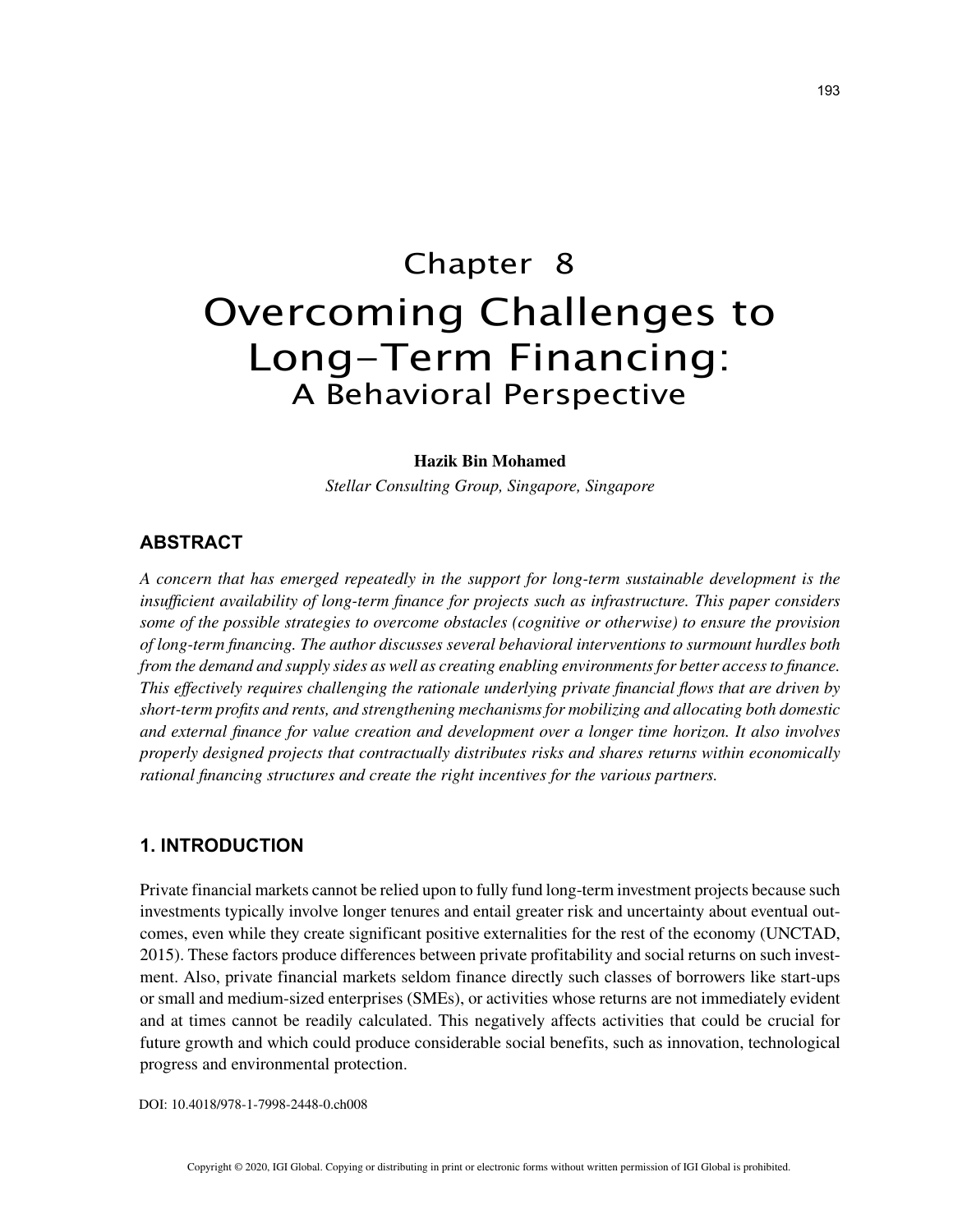# Chapter 8 Overcoming Challenges to Long-Term Financing: A Behavioral Perspective

#### **Hazik Bin Mohamed**

*Stellar Consulting Group, Singapore, Singapore*

## **ABSTRACT**

*A concern that has emerged repeatedly in the support for long-term sustainable development is the insufficient availability of long-term finance for projects such as infrastructure. This paper considers some of the possible strategies to overcome obstacles (cognitive or otherwise) to ensure the provision of long-term financing. The author discusses several behavioral interventions to surmount hurdles both from the demand and supply sides as well as creating enabling environments for better access to finance. This effectively requires challenging the rationale underlying private financial flows that are driven by short-term profits and rents, and strengthening mechanisms for mobilizing and allocating both domestic and external finance for value creation and development over a longer time horizon. It also involves properly designed projects that contractually distributes risks and shares returns within economically rational financing structures and create the right incentives for the various partners.*

### **1. INTRODUCTION**

Private financial markets cannot be relied upon to fully fund long-term investment projects because such investments typically involve longer tenures and entail greater risk and uncertainty about eventual outcomes, even while they create significant positive externalities for the rest of the economy (UNCTAD, 2015). These factors produce differences between private profitability and social returns on such investment. Also, private financial markets seldom finance directly such classes of borrowers like start-ups or small and medium-sized enterprises (SMEs), or activities whose returns are not immediately evident and at times cannot be readily calculated. This negatively affects activities that could be crucial for future growth and which could produce considerable social benefits, such as innovation, technological progress and environmental protection.

DOI: 10.4018/978-1-7998-2448-0.ch008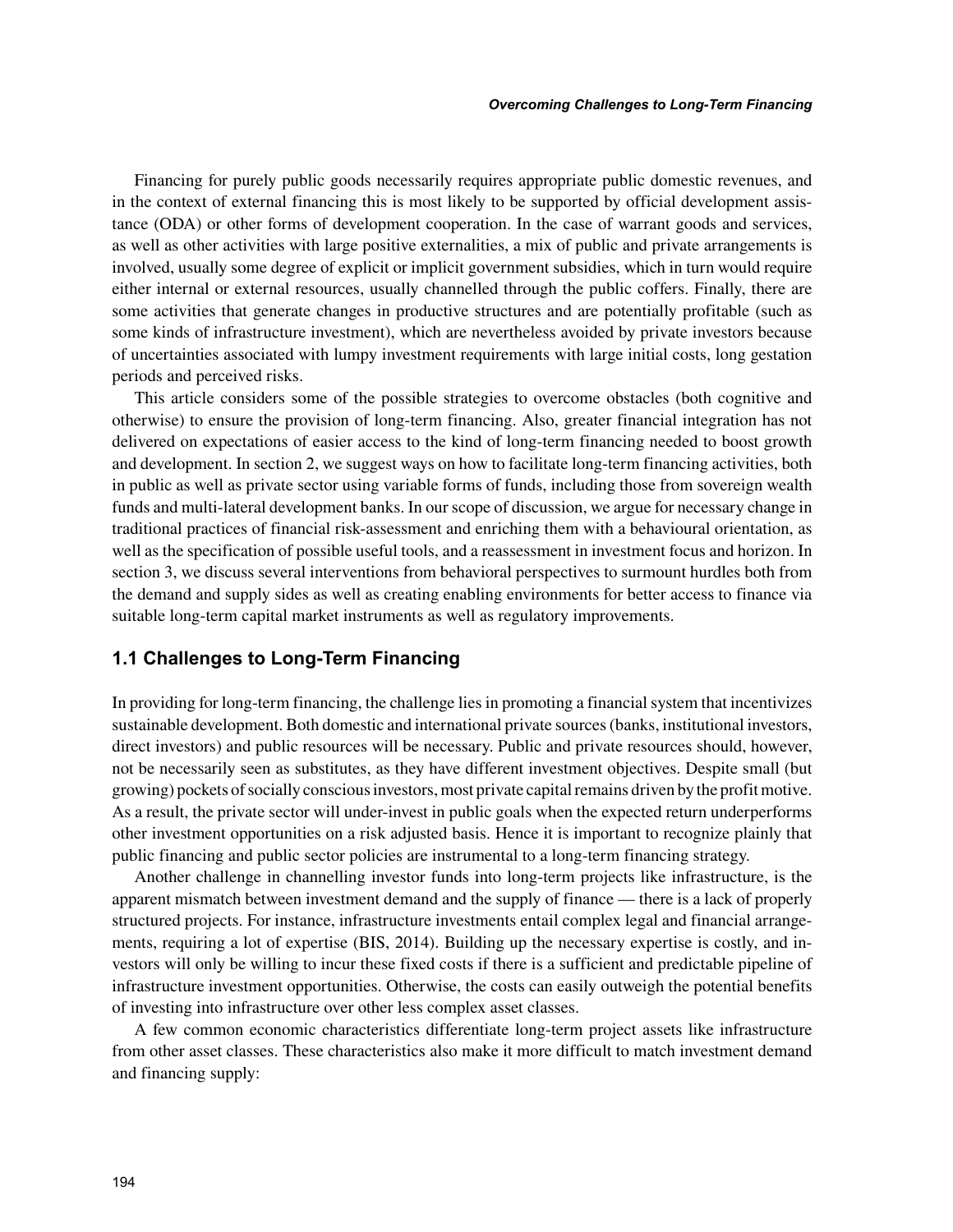Financing for purely public goods necessarily requires appropriate public domestic revenues, and in the context of external financing this is most likely to be supported by official development assistance (ODA) or other forms of development cooperation. In the case of warrant goods and services, as well as other activities with large positive externalities, a mix of public and private arrangements is involved, usually some degree of explicit or implicit government subsidies, which in turn would require either internal or external resources, usually channelled through the public coffers. Finally, there are some activities that generate changes in productive structures and are potentially profitable (such as some kinds of infrastructure investment), which are nevertheless avoided by private investors because of uncertainties associated with lumpy investment requirements with large initial costs, long gestation periods and perceived risks.

This article considers some of the possible strategies to overcome obstacles (both cognitive and otherwise) to ensure the provision of long-term financing. Also, greater financial integration has not delivered on expectations of easier access to the kind of long-term financing needed to boost growth and development. In section 2, we suggest ways on how to facilitate long-term financing activities, both in public as well as private sector using variable forms of funds, including those from sovereign wealth funds and multi-lateral development banks. In our scope of discussion, we argue for necessary change in traditional practices of financial risk-assessment and enriching them with a behavioural orientation, as well as the specification of possible useful tools, and a reassessment in investment focus and horizon. In section 3, we discuss several interventions from behavioral perspectives to surmount hurdles both from the demand and supply sides as well as creating enabling environments for better access to finance via suitable long-term capital market instruments as well as regulatory improvements.

## **1.1 Challenges to Long-Term Financing**

In providing for long-term financing, the challenge lies in promoting a financial system that incentivizes sustainable development. Both domestic and international private sources (banks, institutional investors, direct investors) and public resources will be necessary. Public and private resources should, however, not be necessarily seen as substitutes, as they have different investment objectives. Despite small (but growing) pockets of socially conscious investors, most private capital remains driven by the profit motive. As a result, the private sector will under-invest in public goals when the expected return underperforms other investment opportunities on a risk adjusted basis. Hence it is important to recognize plainly that public financing and public sector policies are instrumental to a long-term financing strategy.

Another challenge in channelling investor funds into long-term projects like infrastructure, is the apparent mismatch between investment demand and the supply of finance — there is a lack of properly structured projects. For instance, infrastructure investments entail complex legal and financial arrangements, requiring a lot of expertise (BIS, 2014). Building up the necessary expertise is costly, and investors will only be willing to incur these fixed costs if there is a sufficient and predictable pipeline of infrastructure investment opportunities. Otherwise, the costs can easily outweigh the potential benefits of investing into infrastructure over other less complex asset classes.

A few common economic characteristics differentiate long-term project assets like infrastructure from other asset classes. These characteristics also make it more difficult to match investment demand and financing supply: